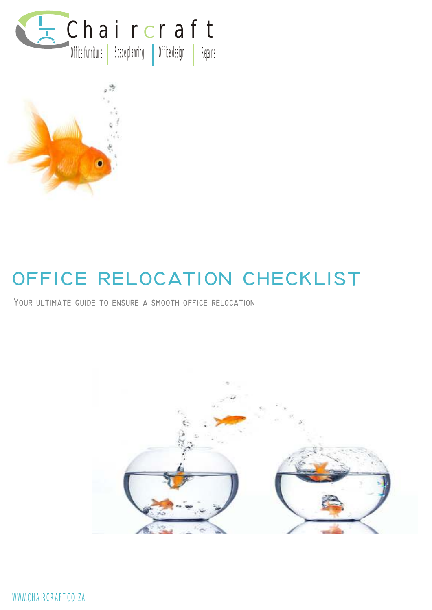



# **OFFICE RELOCATION CHECKLIST**

**Your ultimate guide to ensure a smooth office relocation**



WWW.CHAIRCRAFT.CO.ZA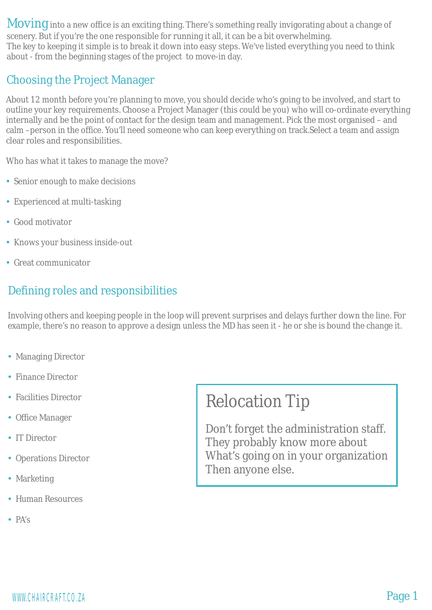Moving into a new office is an exciting thing. There's something really invigorating about a change of scenery. But if you're the one responsible for running it all, it can be a bit overwhelming. The key to keeping it simple is to break it down into easy steps. We've listed everything you need to think about - from the beginning stages of the project to move-in day.

#### Choosing the Project Manager

About 12 month before you're planning to move, you should decide who's going to be involved, and start to outline your key requirements. Choose a Project Manager (this could be you) who will co-ordinate everything internally and be the point of contact for the design team and management. Pick the most organised – and calm –person in the office. You'll need someone who can keep everything on track.Select a team and assign clear roles and responsibilities.

Who has what it takes to manage the move?

- Senior enough to make decisions
- Experienced at multi-tasking
- Good motivator
- Knows your business inside-out
- Great communicator

## Defining roles and responsibilities

Involving others and keeping people in the loop will prevent surprises and delays further down the line. For example, there's no reason to approve a design unless the MD has seen it - he or she is bound the change it.

- Managing Director
- Finance Director
- Facilities Director
- Office Manager
- IT Director
- Operations Director
- Marketing
- Human Resources
- PA's

# Relocation Tip

Don't forget the administration staff. They probably know more about What's going on in your organization Then anyone else.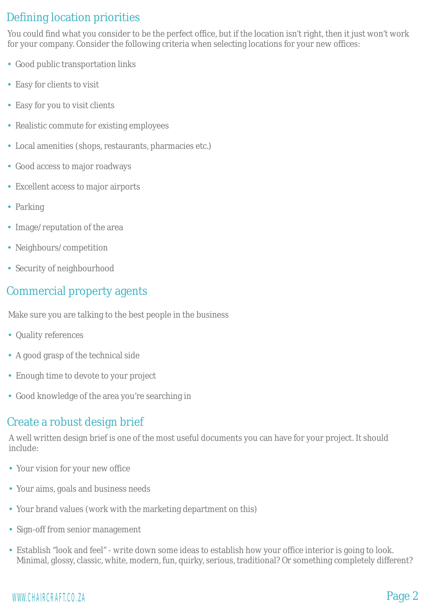### Defining location priorities

You could find what you consider to be the perfect office, but if the location isn't right, then it just won't work for your company. Consider the following criteria when selecting locations for your new offices:

- Good public transportation links
- Easy for clients to visit
- Easy for you to visit clients
- Realistic commute for existing employees
- Local amenities (shops, restaurants, pharmacies etc.)
- Good access to major roadways
- Excellent access to major airports
- Parking
- Image/reputation of the area
- Neighbours/competition
- Security of neighbourhood

#### Commercial property agents

Make sure you are talking to the best people in the business

- Quality references
- A good grasp of the technical side
- Enough time to devote to your project
- Good knowledge of the area you're searching in

### Create a robust design brief

A well written design brief is one of the most useful documents you can have for your project. It should include:

- Your vision for your new office Ÿ
- Your aims, goals and business needs
- Your brand values (work with the marketing department on this)
- Sign-off from senior management
- Establish "look and feel" write down some ideas to establish how your office interior is going to look. Minimal, glossy, classic, white, modern, fun, quirky, serious, traditional? Or something completely different?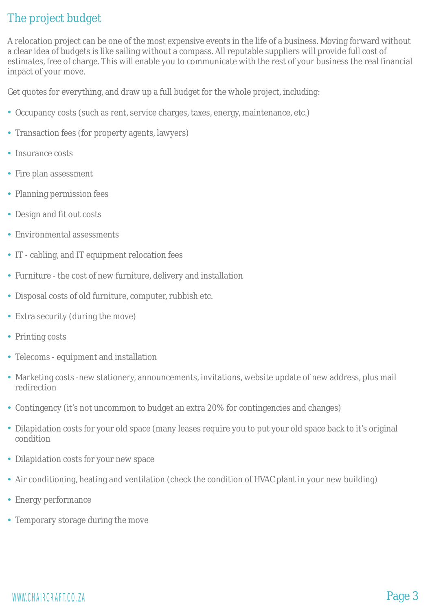### The project budget

A relocation project can be one of the most expensive events in the life of a business. Moving forward without a clear idea of budgets is like sailing without a compass. All reputable suppliers will provide full cost of estimates, free of charge. This will enable you to communicate with the rest of your business the real financial impact of your move.

Get quotes for everything, and draw up a full budget for the whole project, including:

- Occupancy costs (such as rent, service charges, taxes, energy, maintenance, etc.)
- Transaction fees (for property agents, lawyers)
- Insurance costs
- Fire plan assessment
- Planning permission fees
- Design and fit out costs
- Environmental assessments
- IT cabling, and IT equipment relocation fees
- Furniture the cost of new furniture, delivery and installation
- Disposal costs of old furniture, computer, rubbish etc.
- Extra security (during the move)
- Printing costs
- Telecoms equipment and installation
- Marketing costs -new stationery, announcements, invitations, website update of new address, plus mail redirection
- Contingency (it's not uncommon to budget an extra 20% for contingencies and changes)
- Dilapidation costs for your old space (many leases require you to put your old space back to it's original condition
- Dilapidation costs for your new space
- Air conditioning, heating and ventilation (check the condition of HVAC plant in your new building)
- Energy performance
- Temporary storage during the move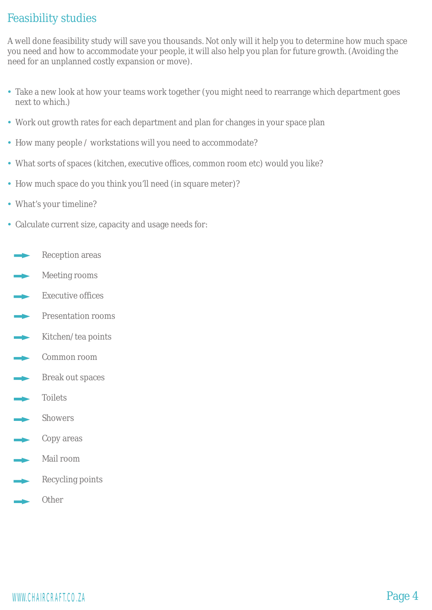#### Feasibility studies

A well done feasibility study will save you thousands. Not only will it help you to determine how much space you need and how to accommodate your people, it will also help you plan for future growth. (Avoiding the need for an unplanned costly expansion or move).

- Take a new look at how your teams work together (you might need to rearrange which department goes next to which.)
- Work out growth rates for each department and plan for changes in your space plan
- How many people / workstations will you need to accommodate?
- What sorts of spaces (kitchen, executive offices, common room etc) would you like?
- How much space do you think you'll need (in square meter)?
- What's your timeline?
- Calculate current size, capacity and usage needs for:
- Reception areas
- Meeting rooms
- Executive offices
- **Presentation rooms**
- Kitchen/tea points
- **Example 2** Common room
- **Break out spaces**
- Toilets
- Showers
- $\longrightarrow$  Copy areas
- Mail room
- Recycling points
- **Other**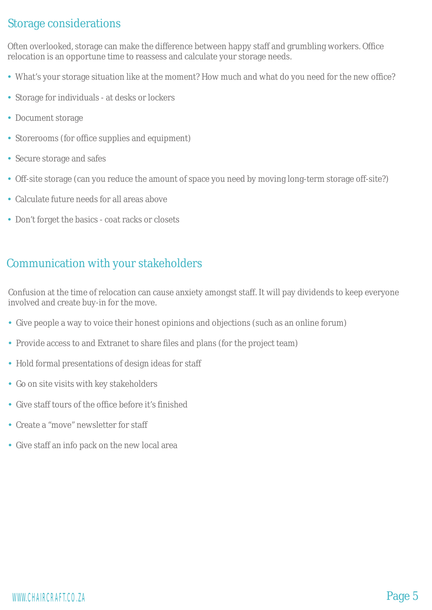#### Storage considerations

Often overlooked, storage can make the difference between happy staff and grumbling workers. Office relocation is an opportune time to reassess and calculate your storage needs.

- What's your storage situation like at the moment? How much and what do you need for the new office? Ÿ
- Storage for individuals at desks or lockers
- Document storage
- Storerooms (for office supplies and equipment)
- Secure storage and safes
- Off-site storage (can you reduce the amount of space you need by moving long-term storage off-site?)
- Calculate future needs for all areas above
- Don't forget the basics coat racks or closets

#### Communication with your stakeholders

Confusion at the time of relocation can cause anxiety amongst staff. It will pay dividends to keep everyone involved and create buy-in for the move.

- Give people a way to voice their honest opinions and objections (such as an online forum)
- Provide access to and Extranet to share files and plans (for the project team)
- Hold formal presentations of design ideas for staff
- Go on site visits with key stakeholders
- Give staff tours of the office before it's finished
- Create a "move" newsletter for staff
- Give staff an info pack on the new local area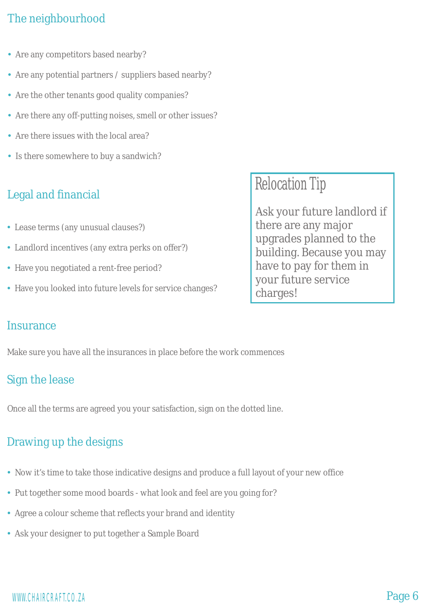### The neighbourhood

- Are any competitors based nearby?
- Are any potential partners / suppliers based nearby?
- Are the other tenants good quality companies?
- Are there any off-putting noises, smell or other issues?
- Are there issues with the local area?
- Is there somewhere to buy a sandwich?

# Legal and financial

- Lease terms (any unusual clauses?)
- Landlord incentives (any extra perks on offer?)
- Have you negotiated a rent-free period?
- Have you looked into future levels for service changes?

Relocation Tip

Ask your future landlord if there are any major upgrades planned to the building. Because you may have to pay for them in your future service charges!

#### **Insurance**

Make sure you have all the insurances in place before the work commences

#### Sign the lease

Once all the terms are agreed you your satisfaction, sign on the dotted line.

# Drawing up the designs

- Now it's time to take those indicative designs and produce a full layout of your new office
- Put together some mood boards what look and feel are you going for?
- Agree a colour scheme that reflects your brand and identity
- Ask your designer to put together a Sample Board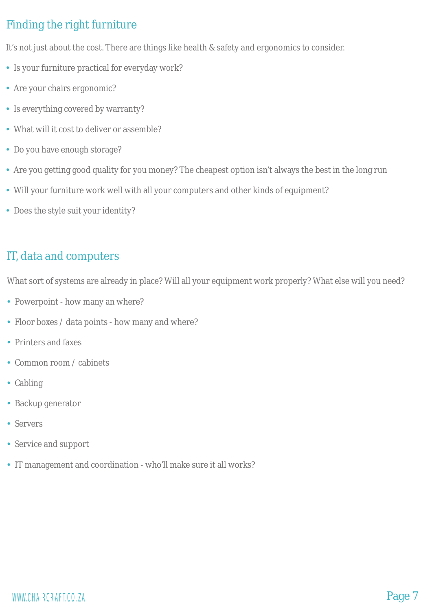# Finding the right furniture

It's not just about the cost. There are things like health & safety and ergonomics to consider.

- Is your furniture practical for everyday work?
- Are your chairs ergonomic?
- Is everything covered by warranty?
- What will it cost to deliver or assemble?
- Do you have enough storage?
- Are you getting good quality for you money? The cheapest option isn't always the best in the long run
- Will your furniture work well with all your computers and other kinds of equipment?
- Does the style suit your identity?

#### IT, data and computers

What sort of systems are already in place? Will all your equipment work properly? What else will you need?

- Powerpoint how many an where?
- Floor boxes / data points how many and where?
- Printers and faxes
- Common room / cabinets
- Cabling
- Backup generator
- Servers
- Service and support
- IT management and coordination who'll make sure it all works?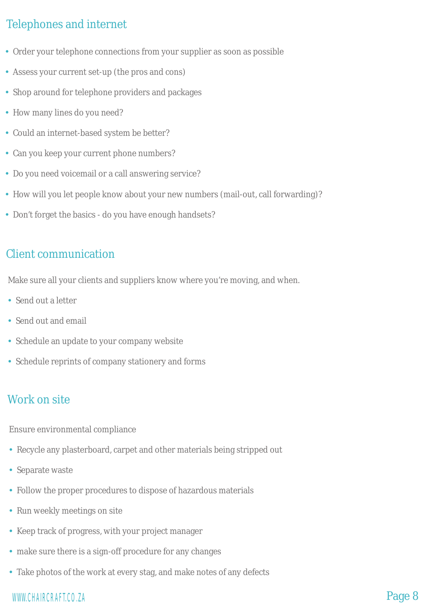### Telephones and internet

- Order your telephone connections from your supplier as soon as possible
- Assess your current set-up (the pros and cons)
- Shop around for telephone providers and packages
- How many lines do you need?
- Could an internet-based system be better?
- Can you keep your current phone numbers?
- Do you need voicemail or a call answering service?
- How will you let people know about your new numbers (mail-out, call forwarding)?
- Don't forget the basics do you have enough handsets?

#### Client communication

Make sure all your clients and suppliers know where you're moving, and when.

- Send out a letter
- Send out and email
- Schedule an update to your company website
- Schedule reprints of company stationery and forms

# Work on site

Ensure environmental compliance

- Recycle any plasterboard, carpet and other materials being stripped out
- Separate waste
- Follow the proper procedures to dispose of hazardous materials
- Run weekly meetings on site
- Keep track of progress, with your project manager
- make sure there is a sign-off procedure for any changes
- Take photos of the work at every stag, and make notes of any defects

# WWW.CHAIRCRAFT.CO.ZA **Page 8**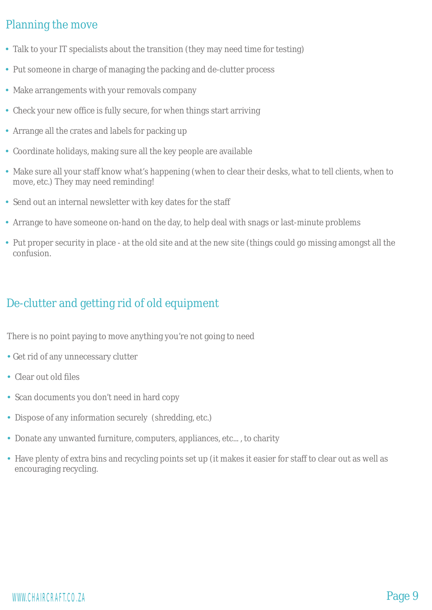#### Planning the move

- Talk to your IT specialists about the transition (they may need time for testing)
- Put someone in charge of managing the packing and de-clutter process
- Make arrangements with your removals company
- Check your new office is fully secure, for when things start arriving
- Arrange all the crates and labels for packing up
- Coordinate holidays, making sure all the key people are available
- Make sure all your staff know what's happening (when to clear their desks, what to tell clients, when to move, etc.) They may need reminding!
- Send out an internal newsletter with key dates for the staff
- Arrange to have someone on-hand on the day, to help deal with snags or last-minute problems
- Put proper security in place at the old site and at the new site (things could go missing amongst all the confusion.

#### De-clutter and getting rid of old equipment

There is no point paying to move anything you're not going to need

- Get rid of any unnecessary clutter
- Clear out old files
- Scan documents you don't need in hard copy
- Dispose of any information securely (shredding, etc.)
- Donate any unwanted furniture, computers, appliances, etc..., to charity
- Have plenty of extra bins and recycling points set up (it makes it easier for staff to clear out as well as encouraging recycling.